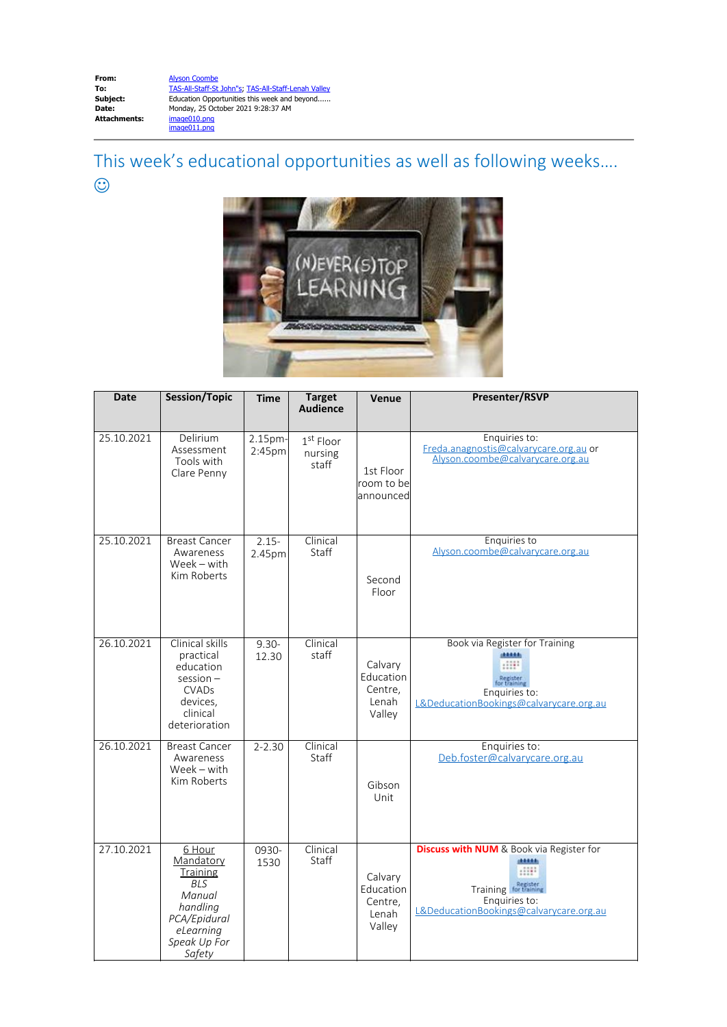This week's educational opportunities as well as following weeks….  $\odot$ 



| Date       | <b>Session/Topic</b>                                                                                                       | <b>Time</b>                   | <b>Target</b><br><b>Audience</b> | Venue                                              | Presenter/RSVP                                                                                                                                                |
|------------|----------------------------------------------------------------------------------------------------------------------------|-------------------------------|----------------------------------|----------------------------------------------------|---------------------------------------------------------------------------------------------------------------------------------------------------------------|
| 25.10.2021 | Delirium<br>Assessment<br>Tools with<br>Clare Penny                                                                        | 2.15pm-<br>2:45 <sub>pm</sub> | $1st$ Floor<br>nursing<br>staff  | 1st Floor<br>room to be<br>announced               | Enquiries to:<br>Freda.anagnostis@calvarycare.org.au or<br>Alyson.coombe@calyarycare.org.au                                                                   |
| 25.10.2021 | <b>Breast Cancer</b><br>Awareness<br>$Week - with$<br>Kim Roberts                                                          | $2.15 -$<br>2.45pm            | Clinical<br>Staff                | Second<br>Floor                                    | Enquiries to<br>Alyson.coombe@calyarycare.org.au                                                                                                              |
| 26.10.2021 | Clinical skills<br>practical<br>education<br>$session -$<br><b>CVADs</b><br>devices,<br>clinical<br>deterioration          | $9.30 -$<br>12.30             | Clinical<br>staff                | Calvary<br>Education<br>Centre,<br>Lenah<br>Valley | Book via Register for Training<br><b>IRRARA</b><br>Register<br>for trainin<br>Enquiries to:<br>L&DeducationBookings@calvarycare.org.au                        |
| 26.10.2021 | <b>Breast Cancer</b><br>Awareness<br>$Week - with$<br>Kim Roberts                                                          | $2 - 2.30$                    | Clinical<br>Staff                | Gibson<br>Unit                                     | Enquiries to:<br>Deb.foster@calvarycare.org.au                                                                                                                |
| 27.10.2021 | 6 Hour<br>Mandatory<br>Training<br><b>BLS</b><br>Manual<br>handling<br>PCA/Epidural<br>eLearning<br>Speak Up For<br>Safety | 0930-<br>1530                 | Clinical<br>Staff                | Calvary<br>Education<br>Centre,<br>Lenah<br>Valley | <b>Discuss with NUM</b> & Book via Register for<br><b>BARRA</b><br>.::::<br>Training for training<br>Enquiries to:<br>L&DeducationBookings@calvarycare.org.au |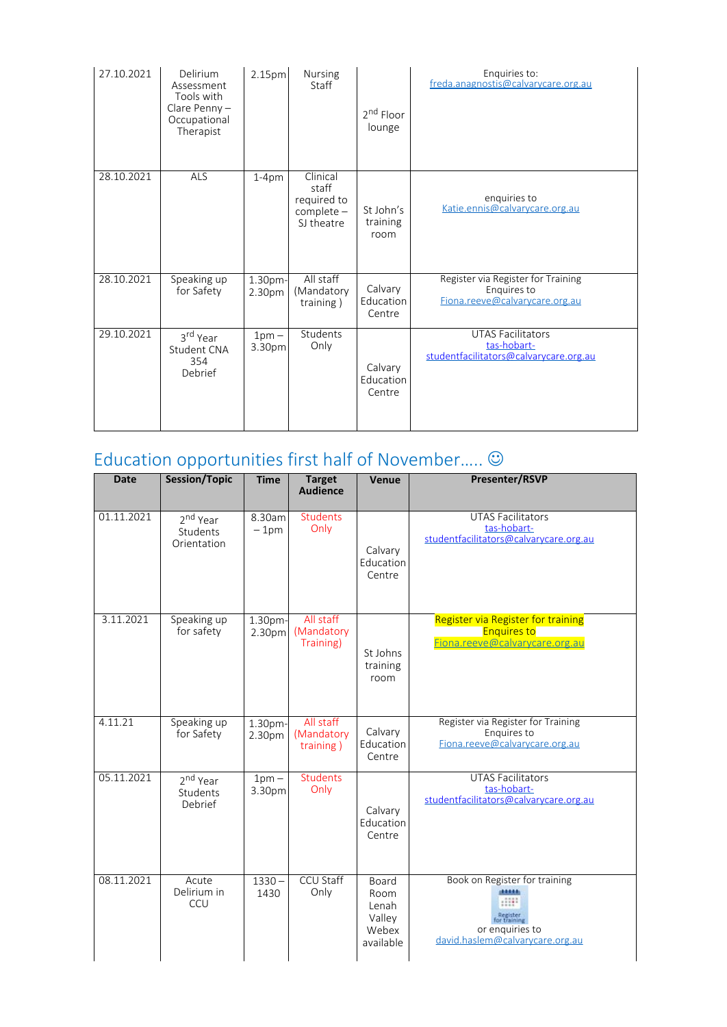| 27.10.2021 | Delirium<br>Assessment<br>Tools with<br>Clare Penny $-$<br>Occupational<br>Therapist | 2.15pm            | Nursing<br>Staff                                               | 2 <sup>nd</sup> Floor<br>lounge | Enquiries to:<br>freda.anagnostis@calvarycare.org.au                                |
|------------|--------------------------------------------------------------------------------------|-------------------|----------------------------------------------------------------|---------------------------------|-------------------------------------------------------------------------------------|
| 28.10.2021 | ALS                                                                                  | $1-4pm$           | Clinical<br>staff<br>required to<br>$complete -$<br>SJ theatre | St John's<br>training<br>room   | enquiries to<br>Katie.ennis@calvarycare.org.au                                      |
| 28.10.2021 | Speaking up<br>for Safety                                                            | 1.30pm-<br>2.30pm | All staff<br>(Mandatory<br>training)                           | Calvary<br>Education<br>Centre  | Register via Register for Training<br>Enguires to<br>Fiona.reeve@calvarycare.org.au |
| 29.10.2021 | 3 <sup>rd</sup> Year<br>Student CNA<br>354<br>Debrief                                | $1pm -$<br>3.30pm | Students<br>Only                                               | Calvary<br>Education<br>Centre  | UTAS Facilitators<br>tas-hobart-<br>studentfacilitators@calvarycare.org.au          |

## Education opportunities first half of November..... $\odot$

| <b>Date</b> | <b>Session/Topic</b>                            | <b>Time</b>                  | <b>Target</b><br><b>Audience</b>     | Venue                                                  | <b>Presenter/RSVP</b>                                                                                           |
|-------------|-------------------------------------------------|------------------------------|--------------------------------------|--------------------------------------------------------|-----------------------------------------------------------------------------------------------------------------|
| 01.11.2021  | 2 <sup>nd</sup> Year<br>Students<br>Orientation | 8.30am<br>$-1pm$             | Students<br>Only                     | Calvary<br>Education<br>Centre                         | <b>UTAS Facilitators</b><br>tas-hobart-<br>studentfacilitators@calvarycare.org.au                               |
| 3.11.2021   | Speaking up<br>for safety                       | 1.30 <sub>pm</sub><br>2.30pm | All staff<br>(Mandatory<br>Training) | St Johns<br>training<br>room                           | Register via Register for training<br><b>Enquires to</b><br>Fiona.reeve@calvarycare.org.au                      |
| 4.11.21     | Speaking up<br>for Safety                       | 1.30pm-<br>2.30pm            | All staff<br>(Mandatory<br>training) | Calvary<br>Education<br>Centre                         | Register via Register for Training<br>Enquires to<br>Fiona.reeve@calvarycare.org.au                             |
| 05.11.2021  | 2 <sup>nd</sup> Year<br>Students<br>Debrief     | $1pm -$<br>3.30pm            | <b>Students</b><br>Only              | Calvary<br>Education<br>Centre                         | <b>UTAS Facilitators</b><br>tas-hobart-<br>studentfacilitators@calvarycare.org.au                               |
| 08.11.2021  | Acute<br>Delirium in<br>CCU                     | $1330 -$<br>1430             | <b>CCU Staff</b><br>Only             | Board<br>Room<br>Lenah<br>Valley<br>Webex<br>available | Book on Register for training<br>Register<br>for training<br>or enquiries to<br>david.haslem@calvarycare.org.au |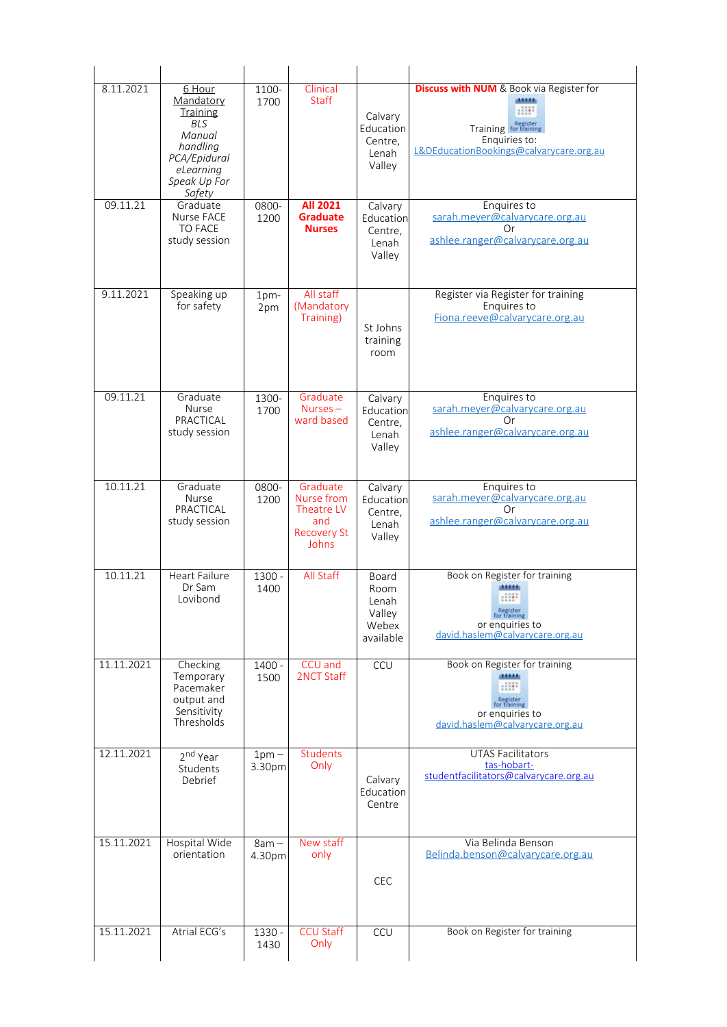| 8.11.2021  | 6 Hour<br>Mandatory<br>Training<br><b>BLS</b><br>Manual<br>handling<br>PCA/Epidural<br>eLearning<br>Speak Up For<br>Safety | 1100-<br>1700     | Clinical<br>Staff                                                          | Calvary<br>Education<br>Centre,<br>Lenah<br>Valley     | <b>Discuss with NUM</b> & Book via Register for<br><b>BARRA</b><br>.::::<br>Training for training<br>Enquiries to:<br>L&DEducationBookings@calvarycare.org.au |
|------------|----------------------------------------------------------------------------------------------------------------------------|-------------------|----------------------------------------------------------------------------|--------------------------------------------------------|---------------------------------------------------------------------------------------------------------------------------------------------------------------|
| 09.11.21   | Graduate<br><b>Nurse FACE</b><br><b>TO FACE</b><br>study session                                                           | 0800-<br>1200     | All 2021<br><b>Graduate</b><br><b>Nurses</b>                               | Calvary<br>Education<br>Centre,<br>Lenah<br>Valley     | Enquires to<br>sarah.meyer@calvarycare.org.au<br>Or<br>ashlee.ranger@calvarycare.org.au                                                                       |
| 9.11.2021  | Speaking up<br>for safety                                                                                                  | $1pm-$<br>2pm     | All staff<br>(Mandatory<br>Training)                                       | St Johns<br>training<br>room                           | Register via Register for training<br>Enquires to<br>Fiona.reeve@calvarycare.org.au                                                                           |
| 09.11.21   | Graduate<br><b>Nurse</b><br>PRACTICAL<br>study session                                                                     | 1300-<br>1700     | Graduate<br>$Nurses -$<br>ward based                                       | Calvary<br>Education<br>Centre,<br>Lenah<br>Valley     | Enquires to<br>sarah.meyer@calvarycare.org.au<br>Or<br>ashlee.ranger@calvarycare.org.au                                                                       |
| 10.11.21   | Graduate<br><b>Nurse</b><br>PRACTICAL<br>study session                                                                     | 0800-<br>1200     | Graduate<br>Nurse from<br>Theatre LV<br>and<br><b>Recovery St</b><br>Johns | Calvary<br>Education<br>Centre,<br>Lenah<br>Valley     | Enquires to<br>sarah.meyer@calvarycare.org.au<br>Ωr<br>ashlee.ranger@calvarycare.org.au                                                                       |
| 10.11.21   | <b>Heart Failure</b><br>Dr Sam<br>Lovibond                                                                                 | $1300 -$<br>1400  | All Staff                                                                  | Board<br>Room<br>Lenah<br>Valley<br>Webex<br>available | Book on Register for training<br>11111<br>Register<br>tor training<br>or enquiries to<br>david.haslem@calvarycare.org.au                                      |
| 11.11.2021 | Checking<br>Temporary<br>Pacemaker<br>output and<br>Sensitivity<br>Thresholds                                              | 1400 -<br>1500    | CCU and<br>2NCT Staff                                                      | CCU                                                    | Book on Register for training<br><b>SALAR</b><br>HH:<br>Register<br>for training<br>or enquiries to<br>david.haslem@calvarycare.org.au                        |
| 12.11.2021 | 2 <sup>nd</sup> Year<br>Students<br>Debrief                                                                                | $1pm -$<br>3.30pm | <b>Students</b><br>Only                                                    | Calvary<br>Education<br>Centre                         | <b>UTAS Facilitators</b><br>tas-hobart-<br>studentfacilitators@calvarycare.org.au                                                                             |
| 15.11.2021 | Hospital Wide<br>orientation                                                                                               | $8am -$<br>4.30pm | New staff<br>only                                                          | <b>CEC</b>                                             | Via Belinda Benson<br>Belinda.benson@calvarycare.org.au                                                                                                       |
| 15.11.2021 | Atrial ECG's                                                                                                               | 1330 -<br>1430    | <b>CCU Staff</b><br>Only                                                   | CCU                                                    | Book on Register for training                                                                                                                                 |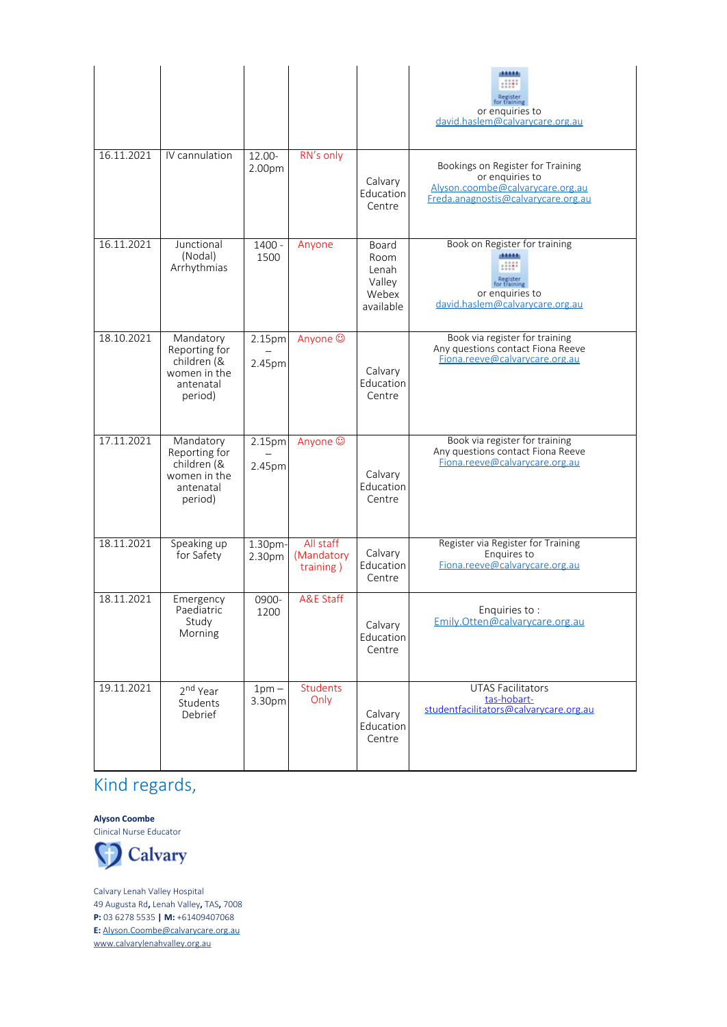|            |                                                                                   |                   |                                      |                                                        | ,,,,,<br>Register<br>for training<br>or enquiries to<br>david.haslem@calvarycare.org.au                                         |
|------------|-----------------------------------------------------------------------------------|-------------------|--------------------------------------|--------------------------------------------------------|---------------------------------------------------------------------------------------------------------------------------------|
| 16.11.2021 | IV cannulation                                                                    | 12.00-<br>2.00pm  | RN's only                            | Calvary<br>Education<br>Centre                         | Bookings on Register for Training<br>or enquiries to<br>Alvson.coombe@calvarycare.org.au<br>Freda.anagnostis@calvarycare.org.au |
| 16.11.2021 | Junctional<br>(Nodal)<br>Arrhythmias                                              | 1400 -<br>1500    | Anyone                               | Board<br>Room<br>Lenah<br>Valley<br>Webex<br>available | Book on Register for training<br>diam'r.<br>Register<br>for training<br>or enquiries to<br>david.haslem@calvarycare.org.au      |
| 18.10.2021 | Mandatory<br>Reporting for<br>children (&<br>women in the<br>antenatal<br>period) | 2.15pm<br>2.45pm  | Anyone ©                             | Calvary<br>Education<br>Centre                         | Book via register for training<br>Any questions contact Fiona Reeve<br>Fiona.reeve@calvarycare.org.au                           |
| 17.11.2021 | Mandatory<br>Reporting for<br>children (&<br>women in the<br>antenatal<br>period) | 2.15pm<br>2.45pm  | Anyone ©                             | Calvary<br>Education<br>Centre                         | Book via register for training<br>Any questions contact Fiona Reeve<br>Fiona.reeve@calvarycare.org.au                           |
| 18.11.2021 | Speaking up<br>for Safety                                                         | 1.30pm-<br>2.30pm | All staff<br>(Mandatory<br>training) | Calvary<br>Education<br>Centre                         | Register via Register for Training<br>Enquires to<br>Fiona.reeve@calvarycare.org.au                                             |
| 18.11.2021 | Emergency<br>Paediatric<br>Study<br>Morning                                       | 0900-<br>1200     | <b>A&amp;E Staff</b>                 | Calvary<br>Education<br>Centre                         | Enguiries to :<br>Emily.Otten@calvarycare.org.au                                                                                |
| 19.11.2021 | 2 <sup>nd</sup> Year<br>Students<br>Debrief                                       | $1pm -$<br>3.30pm | <b>Students</b><br>Only              | Calvary<br>Education<br>Centre                         | <b>UTAS Facilitators</b><br>tas-hobart-<br>studentfacilitators@calvarycare.org.au                                               |

## Kind regards,

**Alyson Coombe** Clinical Nurse Educator



Calvary Lenah Valley Hospital 49 Augusta Rd**,** Lenah Valley**,** TAS**,** 7008 **P:** 03 6278 5535 **| M:** +61409407068 **E:** [Alyson.Coombe@calvarycare.org.au](mailto:Alyson.Coombe@calvarycare.org.au) [www.calvarylenahvalley.org.au](http://www.calvarylenahvalley.org.au/)